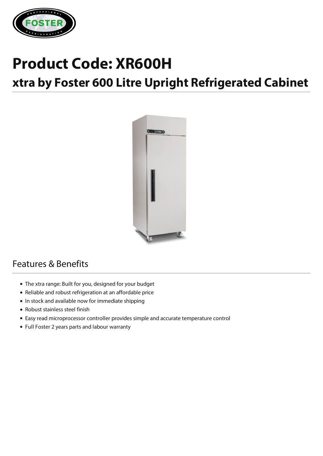

# **Product Code: XR600H**

# **xtra by Foster 600 Litre Upright Refrigerated Cabinet**



## Features & Benefits

- The xtra range: Built for you, designed for your budget
- Reliable and robust refrigeration at an affordable price
- In stock and available now for immediate shipping
- Robust stainless steel finish
- Easy read microprocessor controller provides simple and accurate temperature control
- Full Foster 2 years parts and labour warranty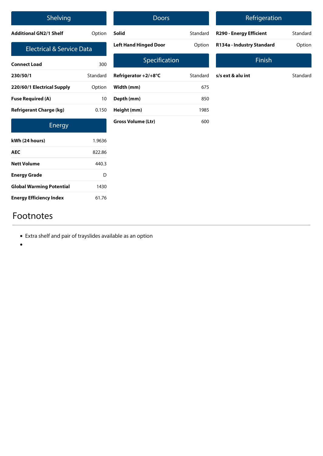| Shelving                             |          | <b>Doors</b>                 |          |                 |
|--------------------------------------|----------|------------------------------|----------|-----------------|
| <b>Additional GN2/1 Shelf</b>        | Option   | <b>Solid</b>                 | Standard | <b>R290 - E</b> |
| <b>Electrical &amp; Service Data</b> |          | <b>Left Hand Hinged Door</b> | Option   | R134a-          |
| <b>Connect Load</b>                  | 300      | Specification                |          |                 |
| 230/50/1                             | Standard | Refrigerator +2/+8°C         | Standard | $s/s$ ext $8$   |
| 220/60/1 Electrical Supply           | Option   | Width (mm)                   | 675      |                 |
| <b>Fuse Required (A)</b>             | 10       | Depth (mm)                   | 850      |                 |
| <b>Refrigerant Charge (kg)</b>       | 0.150    | Height (mm)                  | 1985     |                 |
| Energy                               |          | <b>Gross Volume (Ltr)</b>    | 600      |                 |
| kWh (24 hours)                       | 1.9636   |                              |          |                 |
| <b>AEC</b>                           | 822.86   |                              |          |                 |
| <b>Nett Volume</b>                   | 440.3    |                              |          |                 |

### Refrigeration

| <b>R290 - Energy Efficient</b> | Standard |
|--------------------------------|----------|
| R134a - Industry Standard      | Option   |

### Finish

| s/s ext & alu int | Standard |
|-------------------|----------|
|                   |          |

## Footnotes

**Energy Grade** D

**Global Warming Potential** 1430

**Energy Efficiency Index** 61.76

- Extra shelf and pair of trayslides available as an option
- $\bullet$